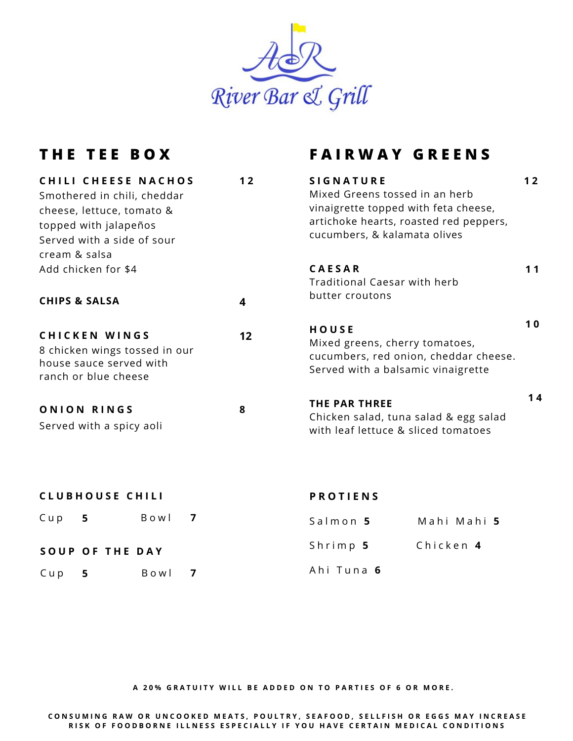

## **T H E T E E B O X F A I R W A Y G R E E N S**

| <b>CHILI CHEESE NACHOS</b><br>Smothered in chili, cheddar                                                | 12 | <b>SIGNATURE</b><br>Mixed Greens tossed in an herb                                                                     | 12 |
|----------------------------------------------------------------------------------------------------------|----|------------------------------------------------------------------------------------------------------------------------|----|
| cheese, lettuce, tomato &<br>topped with jalapeños<br>Served with a side of sour                         |    | vinaigrette topped with feta cheese,<br>artichoke hearts, roasted red peppers,<br>cucumbers, & kalamata olives         |    |
| cream & salsa                                                                                            |    |                                                                                                                        |    |
| Add chicken for \$4                                                                                      |    | <b>CAESAR</b><br>Traditional Caesar with herb                                                                          | 11 |
| <b>CHIPS &amp; SALSA</b>                                                                                 | 4  | butter croutons                                                                                                        |    |
| <b>CHICKEN WINGS</b><br>8 chicken wings tossed in our<br>house sauce served with<br>ranch or blue cheese | 12 | HOUSE<br>Mixed greens, cherry tomatoes,<br>cucumbers, red onion, cheddar cheese.<br>Served with a balsamic vinaigrette | 10 |
| ONION RINGS<br>Served with a spicy aoli                                                                  | 8  | <b>THE PAR THREE</b><br>Chicken salad, tuna salad & egg salad<br>with leaf lettuce & sliced tomatoes                   | 14 |

| <b>CLUBHOUSE CHILI</b> |                        |        |                   | <b>PROTIENS</b> |  |  |
|------------------------|------------------------|--------|-------------------|-----------------|--|--|
| Cup 5                  |                        | Bowl 7 | Salmon 5          | Mahi Mahi 5     |  |  |
|                        | <b>SOUP OF THE DAY</b> |        | Shrimp 5          | Chicken 4       |  |  |
| $Cup$ 5                |                        | Bowl 7 | Ahi Tuna <b>6</b> |                 |  |  |

A 20% GRATUITY WILL BE ADDED ON TO PARTIES OF 6 OR MORE.